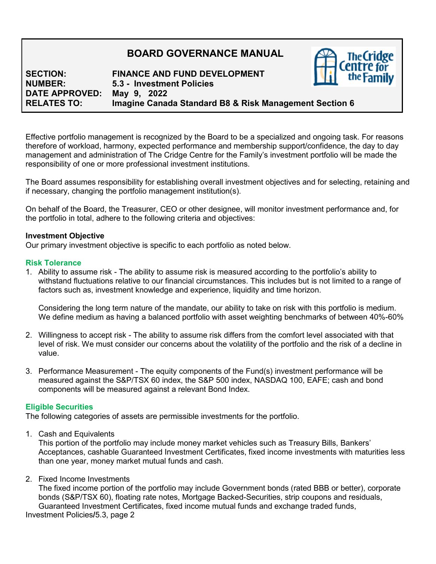# **BOARD GOVERNANCE MANUAL**

**SECTION: FINANCE AND FUND DEVELOPMENT NUMBER: 5.3 - Investment Policies DATE APPROVED: May 9, 2022 Imagine Canada Standard B8 & Risk Management Section 6** 

Effective portfolio management is recognized by the Board to be a specialized and ongoing task. For reasons therefore of workload, harmony, expected performance and membership support/confidence, the day to day management and administration of The Cridge Centre for the Family's investment portfolio will be made the responsibility of one or more professional investment institutions.

The Board assumes responsibility for establishing overall investment objectives and for selecting, retaining and if necessary, changing the portfolio management institution(s).

On behalf of the Board, the Treasurer, CEO or other designee, will monitor investment performance and, for the portfolio in total, adhere to the following criteria and objectives:

#### **Investment Objective**

Our primary investment objective is specific to each portfolio as noted below.

#### **Risk Tolerance**

1. Ability to assume risk - The ability to assume risk is measured according to the portfolio's ability to withstand fluctuations relative to our financial circumstances. This includes but is not limited to a range of factors such as, investment knowledge and experience, liquidity and time horizon.

Considering the long term nature of the mandate, our ability to take on risk with this portfolio is medium. We define medium as having a balanced portfolio with asset weighting benchmarks of between 40%-60%

- 2. Willingness to accept risk The ability to assume risk differs from the comfort level associated with that level of risk. We must consider our concerns about the volatility of the portfolio and the risk of a decline in value.
- 3. Performance Measurement The equity components of the Fund(s) investment performance will be measured against the S&P/TSX 60 index, the S&P 500 index, NASDAQ 100, EAFE; cash and bond components will be measured against a relevant Bond Index.

# **Eligible Securities**

The following categories of assets are permissible investments for the portfolio.

1. Cash and Equivalents

This portion of the portfolio may include money market vehicles such as Treasury Bills, Bankers' Acceptances, cashable Guaranteed Investment Certificates, fixed income investments with maturities less than one year, money market mutual funds and cash.

2. Fixed Income Investments

The fixed income portion of the portfolio may include Government bonds (rated BBB or better), corporate bonds (S&P/TSX 60), floating rate notes, Mortgage Backed-Securities, strip coupons and residuals, Guaranteed Investment Certificates, fixed income mutual funds and exchange traded funds,

Investment Policies**/**5.3, page 2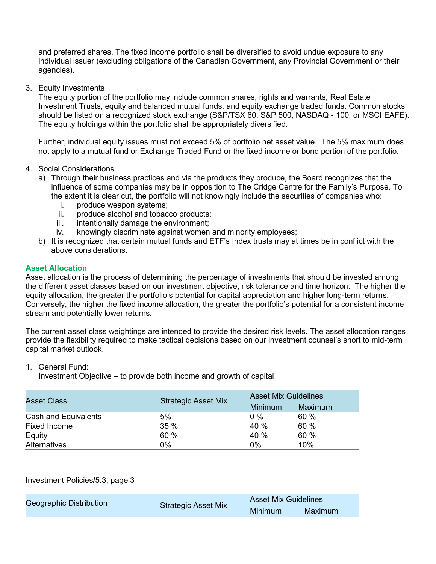and preferred shares. The fixed income portfolio shall be diversified to avoid undue exposure to any individual issuer (excluding obligations of the Canadian Government, any Provincial Government or their agencies).

3. Equity Investments

The equity portion of the portfolio may include common shares, rights and warrants, Real Estate Investment Trusts, equity and balanced mutual funds, and equity exchange traded funds. Common stocks should be listed on a recognized stock exchange (S&P/TSX 60, S&P 500, NASDAQ - 100, or MSCI EAFE). The equity holdings within the portfolio shall be appropriately diversified.

Further, individual equity issues must not exceed 5% of portfolio net asset value. The 5% maximum does not apply to a mutual fund or Exchange Traded Fund or the fixed income or bond portion of the portfolio.

- 4. Social Considerations
	- a) Through their business practices and via the products they produce, the Board recognizes that the influence of some companies may be in opposition to The Cridge Centre for the Family's Purpose. To the extent it is clear cut, the portfolio will not knowingly include the securities of companies who:
		- i. produce weapon systems;
		- ii. produce alcohol and tobacco products;
		- iii. intentionally damage the environment;
		- iv. knowingly discriminate against women and minority employees;
	- b) It is recognized that certain mutual funds and ETF's Index trusts may at times be in conflict with the above considerations.

#### **Asset Allocation**

Asset allocation is the process of determining the percentage of investments that should be invested among the different asset classes based on our investment objective, risk tolerance and time horizon. The higher the equity allocation, the greater the portfolio's potential for capital appreciation and higher long-term returns. Conversely, the higher the fixed income allocation, the greater the portfolio's potential for a consistent income stream and potentially lower returns.

The current asset class weightings are intended to provide the desired risk levels. The asset allocation ranges provide the flexibility required to make tactical decisions based on our investment counsel's short to mid-term capital market outlook.

- 1. General Fund:
	- Investment Objective to provide both income and growth of capital

| <b>Asset Class</b>   | <b>Strategic Asset Mix</b> | <b>Asset Mix Guidelines</b> |                |
|----------------------|----------------------------|-----------------------------|----------------|
|                      |                            | <b>Minimum</b>              | <b>Maximum</b> |
| Cash and Equivalents | 5%                         | $0\%$                       | 60%            |
| Fixed Income         | 35%                        | 40 %                        | 60 %           |
| Equity               | 60 %                       | 40 %                        | 60 %           |
| <b>Alternatives</b>  | $0\%$                      | 0%                          | 10%            |

Investment Policies**/**5.3, page 3

| Geographic Distribution<br><b>Strategic Asset Mix</b> | <b>Asset Mix Guidelines</b> |         |
|-------------------------------------------------------|-----------------------------|---------|
|                                                       |                             | Minimum |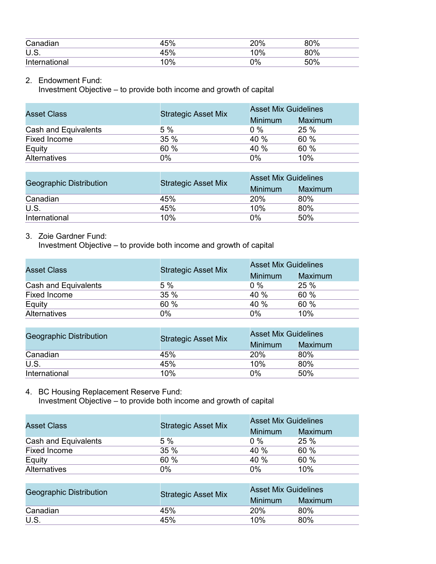| Canadian      | $F^{\prime}$   | 200/<br>ZU 70 | 80% |  |
|---------------|----------------|---------------|-----|--|
| U.S.          | E <sub>0</sub> | 0%            | 80% |  |
| International | 0%             | 2%            | 50% |  |

# 2. Endowment Fund:

Investment Objective – to provide both income and growth of capital

| <b>Asset Class</b>   | <b>Strategic Asset Mix</b> | <b>Asset Mix Guidelines</b> |                |
|----------------------|----------------------------|-----------------------------|----------------|
|                      |                            | Minimum                     | <b>Maximum</b> |
| Cash and Equivalents | 5%                         | $0\%$                       | <b>25 %</b>    |
| <b>Fixed Income</b>  | 35 %                       | 40 %                        | 60 %           |
| Equity               | 60 %                       | 40 %                        | 60 %           |
| <b>Alternatives</b>  | 0%                         | 0%                          | 10%            |

| Geographic Distribution | <b>Strategic Asset Mix</b> | <b>Asset Mix Guidelines</b> |         |
|-------------------------|----------------------------|-----------------------------|---------|
|                         |                            | <b>Minimum</b>              | Maximum |
| Canadian                | 45%                        | 20%                         | 80%     |
| U.S.                    | 45%                        | 10%                         | 80%     |
| International           | 10%                        | 0%                          | 50%     |

# 3. Zoie Gardner Fund:

Investment Objective – to provide both income and growth of capital

| <b>Asset Class</b>   | <b>Strategic Asset Mix</b> | <b>Asset Mix Guidelines</b> |         |
|----------------------|----------------------------|-----------------------------|---------|
|                      |                            | <b>Minimum</b>              | Maximum |
| Cash and Equivalents | 5 %                        | $0\%$                       | 25 %    |
| Fixed Income         | 35%                        | 40 %                        | 60 %    |
| Equity               | 60 %                       | 40 %                        | 60 %    |
| <b>Alternatives</b>  | 0%                         | 0%                          | 10%     |

| <b>Geographic Distribution</b> | <b>Strategic Asset Mix</b> | <b>Asset Mix Guidelines</b> |         |
|--------------------------------|----------------------------|-----------------------------|---------|
|                                |                            | <b>Minimum</b>              | Maximum |
| Canadian                       | 45%                        | 20%                         | 80%     |
| U.S.                           | 45%                        | 10%                         | 80%     |
| International                  | 10%                        | 0%                          | 50%     |

# 4. BC Housing Replacement Reserve Fund: Investment Objective – to provide both income and growth of capital

| <b>Asset Class</b>   | <b>Strategic Asset Mix</b> | <b>Asset Mix Guidelines</b> |                |
|----------------------|----------------------------|-----------------------------|----------------|
|                      |                            | <b>Minimum</b>              | <b>Maximum</b> |
| Cash and Equivalents | 5%                         | $0\%$                       | 25 %           |
| Fixed Income         | 35%                        | 40 %                        | 60 %           |
| Equity               | 60 %                       | 40%                         | 60 %           |
| <b>Alternatives</b>  | 0%                         | 0%                          | 10%            |

| Geographic Distribution | <b>Strategic Asset Mix</b> | <b>Asset Mix Guidelines</b> |                |
|-------------------------|----------------------------|-----------------------------|----------------|
|                         |                            | Minimum                     | <b>Maximum</b> |
| Canadian                | 45%                        | 20%                         | 80%            |
| <b>U.S.</b>             | 45%                        | 10%                         | 80%            |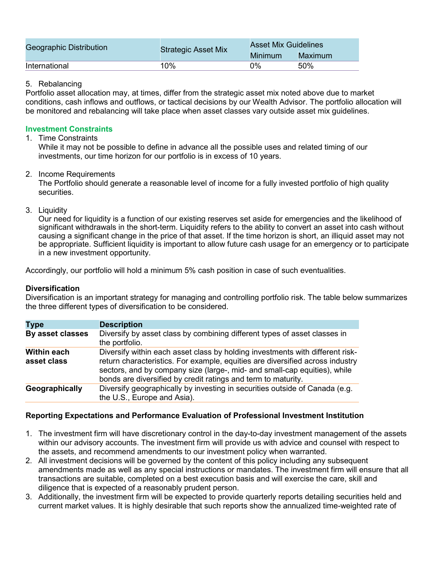| Geographic Distribution | <b>Strategic Asset Mix</b> | <b>Asset Mix Guidelines</b> |         |
|-------------------------|----------------------------|-----------------------------|---------|
|                         |                            | Minimum                     | Maximum |
| International           | 10%                        | 0%                          | 50%     |

#### 5. Rebalancing

Portfolio asset allocation may, at times, differ from the strategic asset mix noted above due to market conditions, cash inflows and outflows, or tactical decisions by our Wealth Advisor. The portfolio allocation will be monitored and rebalancing will take place when asset classes vary outside asset mix guidelines.

# **Investment Constraints**

# 1. Time Constraints

While it may not be possible to define in advance all the possible uses and related timing of our investments, our time horizon for our portfolio is in excess of 10 years.

# 2. Income Requirements

The Portfolio should generate a reasonable level of income for a fully invested portfolio of high quality securities.

3. Liquidity

Our need for liquidity is a function of our existing reserves set aside for emergencies and the likelihood of significant withdrawals in the short-term. Liquidity refers to the ability to convert an asset into cash without causing a significant change in the price of that asset. If the time horizon is short, an illiquid asset may not be appropriate. Sufficient liquidity is important to allow future cash usage for an emergency or to participate in a new investment opportunity.

Accordingly, our portfolio will hold a minimum 5% cash position in case of such eventualities.

# **Diversification**

Diversification is an important strategy for managing and controlling portfolio risk. The table below summarizes the three different types of diversification to be considered.

| <b>Type</b>                       | <b>Description</b>                                                                                                                                                                                                                                                                                           |
|-----------------------------------|--------------------------------------------------------------------------------------------------------------------------------------------------------------------------------------------------------------------------------------------------------------------------------------------------------------|
| By asset classes                  | Diversify by asset class by combining different types of asset classes in<br>the portfolio.                                                                                                                                                                                                                  |
| <b>Within each</b><br>asset class | Diversify within each asset class by holding investments with different risk-<br>return characteristics. For example, equities are diversified across industry<br>sectors, and by company size (large-, mid- and small-cap equities), while<br>bonds are diversified by credit ratings and term to maturity. |
| Geographically                    | Diversify geographically by investing in securities outside of Canada (e.g.<br>the U.S., Europe and Asia).                                                                                                                                                                                                   |

# **Reporting Expectations and Performance Evaluation of Professional Investment Institution**

- 1. The investment firm will have discretionary control in the day-to-day investment management of the assets within our advisory accounts. The investment firm will provide us with advice and counsel with respect to the assets, and recommend amendments to our investment policy when warranted.
- 2. All investment decisions will be governed by the content of this policy including any subsequent amendments made as well as any special instructions or mandates. The investment firm will ensure that all transactions are suitable, completed on a best execution basis and will exercise the care, skill and diligence that is expected of a reasonably prudent person.
- 3. Additionally, the investment firm will be expected to provide quarterly reports detailing securities held and current market values. It is highly desirable that such reports show the annualized time-weighted rate of